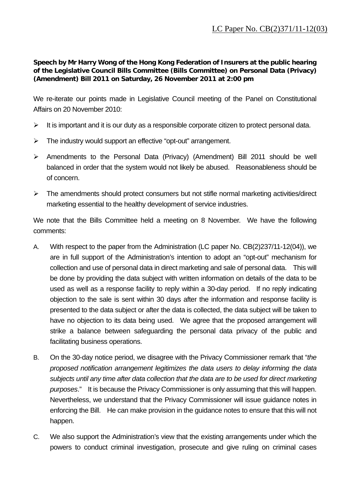**Speech by Mr Harry Wong of the Hong Kong Federation of Insurers at the public hearing of the Legislative Council Bills Committee (Bills Committee) on Personal Data (Privacy) (Amendment) Bill 2011 on Saturday, 26 November 2011 at 2:00 pm** 

We re-iterate our points made in Legislative Council meeting of the Panel on Constitutional Affairs on 20 November 2010:

- $\triangleright$  It is important and it is our duty as a responsible corporate citizen to protect personal data.
- $\triangleright$  The industry would support an effective "opt-out" arrangement.
- Amendments to the Personal Data (Privacy) (Amendment) Bill 2011 should be well balanced in order that the system would not likely be abused. Reasonableness should be of concern.
- $\triangleright$  The amendments should protect consumers but not stifle normal marketing activities/direct marketing essential to the healthy development of service industries.

We note that the Bills Committee held a meeting on 8 November. We have the following comments:

- A. With respect to the paper from the Administration (LC paper No. CB(2)237/11-12(04)), we are in full support of the Administration's intention to adopt an "opt-out" mechanism for collection and use of personal data in direct marketing and sale of personal data. This will be done by providing the data subject with written information on details of the data to be used as well as a response facility to reply within a 30-day period. If no reply indicating objection to the sale is sent within 30 days after the information and response facility is presented to the data subject or after the data is collected, the data subject will be taken to have no objection to its data being used. We agree that the proposed arrangement will strike a balance between safeguarding the personal data privacy of the public and facilitating business operations.
- B. On the 30-day notice period, we disagree with the Privacy Commissioner remark that "*the proposed notification arrangement legitimizes the data users to delay informing the data subjects until any time after data collection that the data are to be used for direct marketing purposes*." It is because the Privacy Commissioner is only assuming that this will happen. Nevertheless, we understand that the Privacy Commissioner will issue guidance notes in enforcing the Bill. He can make provision in the guidance notes to ensure that this will not happen.
- C. We also support the Administration's view that the existing arrangements under which the powers to conduct criminal investigation, prosecute and give ruling on criminal cases